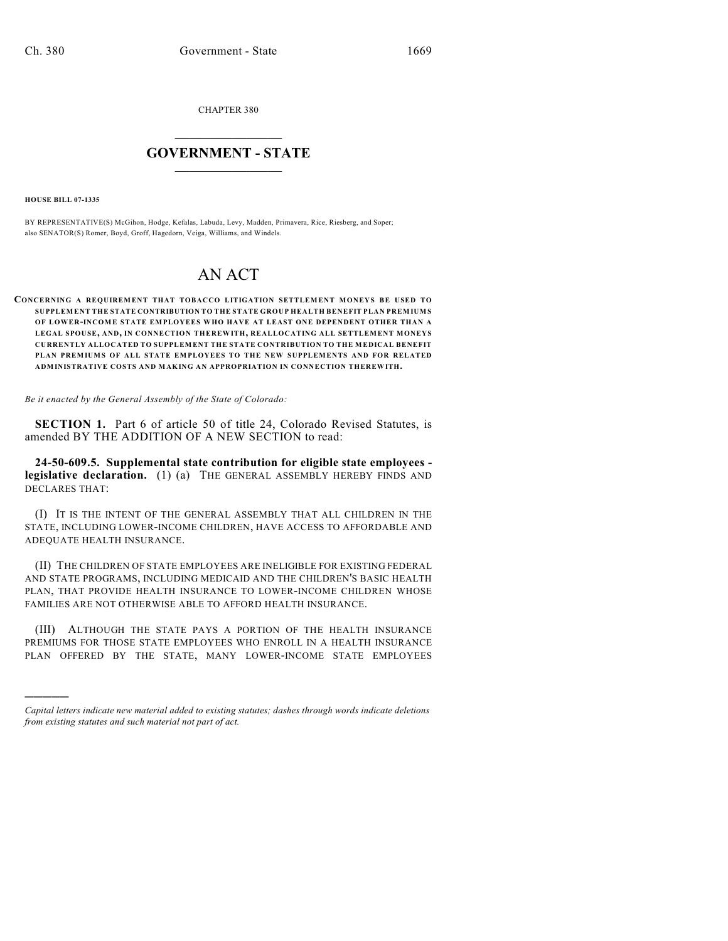CHAPTER 380

## $\mathcal{L}_\text{max}$  . The set of the set of the set of the set of the set of the set of the set of the set of the set of the set of the set of the set of the set of the set of the set of the set of the set of the set of the set **GOVERNMENT - STATE**  $\_$   $\_$   $\_$   $\_$   $\_$   $\_$   $\_$   $\_$   $\_$

**HOUSE BILL 07-1335**

)))))

BY REPRESENTATIVE(S) McGihon, Hodge, Kefalas, Labuda, Levy, Madden, Primavera, Rice, Riesberg, and Soper; also SENATOR(S) Romer, Boyd, Groff, Hagedorn, Veiga, Williams, and Windels.

## AN ACT

## **CONCERNING A REQUIREMENT THAT TOBACCO LITIGATION SETTLEMENT MONEYS BE USED TO SUPPLEM ENT THE STATE CONTRIBUTION TO THE STATE GROUP HEALTH BENEFIT PLAN PREM IUM S OF LOWER-INCOME STATE EMPLOYEES WHO HAVE AT LEAST ONE DEPENDENT OTHER THAN A LEGAL SPOUSE, AND, IN CONNECTION THEREWITH, REALLOCATING ALL SETTLEMENT MONEYS CURRENTLY ALLOCATED TO SUPPLEMENT THE STATE CONTRIBUTION TO THE MEDICAL BENEFIT PLAN PREMIUMS OF ALL STATE EMPLOYEES TO THE NEW SUPPLEMENTS AND FOR RELATED ADMINISTRATIVE COSTS AND MAKING AN APPROPRIATION IN CONNECTION THEREWITH.**

*Be it enacted by the General Assembly of the State of Colorado:*

**SECTION 1.** Part 6 of article 50 of title 24, Colorado Revised Statutes, is amended BY THE ADDITION OF A NEW SECTION to read:

**24-50-609.5. Supplemental state contribution for eligible state employees legislative declaration.** (1) (a) THE GENERAL ASSEMBLY HEREBY FINDS AND DECLARES THAT:

(I) IT IS THE INTENT OF THE GENERAL ASSEMBLY THAT ALL CHILDREN IN THE STATE, INCLUDING LOWER-INCOME CHILDREN, HAVE ACCESS TO AFFORDABLE AND ADEQUATE HEALTH INSURANCE.

(II) THE CHILDREN OF STATE EMPLOYEES ARE INELIGIBLE FOR EXISTING FEDERAL AND STATE PROGRAMS, INCLUDING MEDICAID AND THE CHILDREN'S BASIC HEALTH PLAN, THAT PROVIDE HEALTH INSURANCE TO LOWER-INCOME CHILDREN WHOSE FAMILIES ARE NOT OTHERWISE ABLE TO AFFORD HEALTH INSURANCE.

(III) ALTHOUGH THE STATE PAYS A PORTION OF THE HEALTH INSURANCE PREMIUMS FOR THOSE STATE EMPLOYEES WHO ENROLL IN A HEALTH INSURANCE PLAN OFFERED BY THE STATE, MANY LOWER-INCOME STATE EMPLOYEES

*Capital letters indicate new material added to existing statutes; dashes through words indicate deletions from existing statutes and such material not part of act.*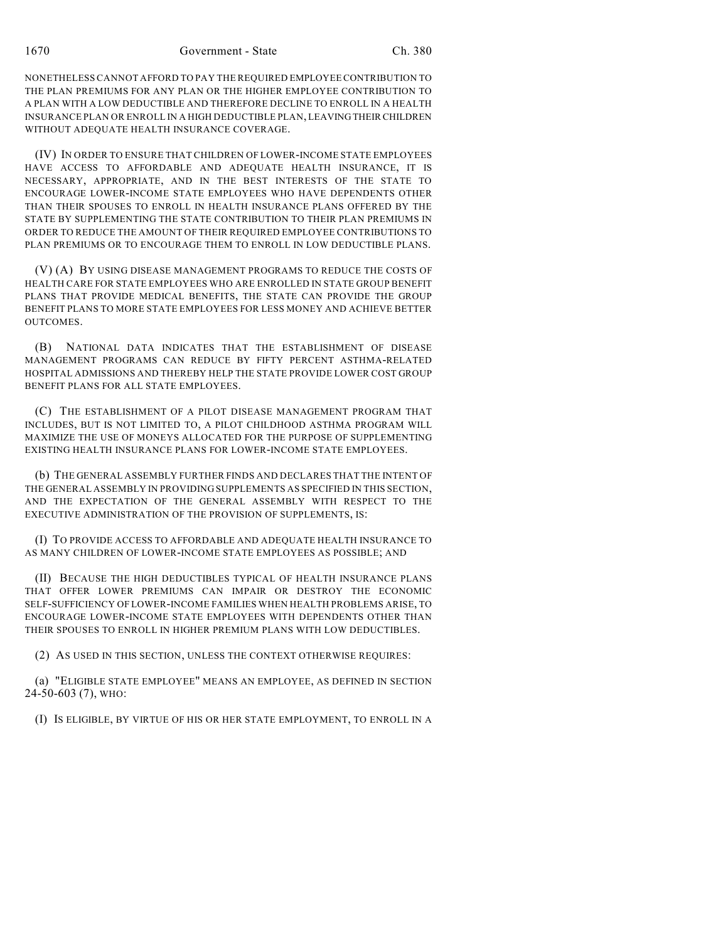NONETHELESS CANNOT AFFORD TO PAY THE REQUIRED EMPLOYEE CONTRIBUTION TO THE PLAN PREMIUMS FOR ANY PLAN OR THE HIGHER EMPLOYEE CONTRIBUTION TO A PLAN WITH A LOW DEDUCTIBLE AND THEREFORE DECLINE TO ENROLL IN A HEALTH INSURANCE PLAN OR ENROLL IN A HIGH DEDUCTIBLE PLAN, LEAVING THEIR CHILDREN WITHOUT ADEQUATE HEALTH INSURANCE COVERAGE.

(IV) IN ORDER TO ENSURE THAT CHILDREN OF LOWER-INCOME STATE EMPLOYEES HAVE ACCESS TO AFFORDABLE AND ADEQUATE HEALTH INSURANCE, IT IS NECESSARY, APPROPRIATE, AND IN THE BEST INTERESTS OF THE STATE TO ENCOURAGE LOWER-INCOME STATE EMPLOYEES WHO HAVE DEPENDENTS OTHER THAN THEIR SPOUSES TO ENROLL IN HEALTH INSURANCE PLANS OFFERED BY THE STATE BY SUPPLEMENTING THE STATE CONTRIBUTION TO THEIR PLAN PREMIUMS IN ORDER TO REDUCE THE AMOUNT OF THEIR REQUIRED EMPLOYEE CONTRIBUTIONS TO PLAN PREMIUMS OR TO ENCOURAGE THEM TO ENROLL IN LOW DEDUCTIBLE PLANS.

(V) (A) BY USING DISEASE MANAGEMENT PROGRAMS TO REDUCE THE COSTS OF HEALTH CARE FOR STATE EMPLOYEES WHO ARE ENROLLED IN STATE GROUP BENEFIT PLANS THAT PROVIDE MEDICAL BENEFITS, THE STATE CAN PROVIDE THE GROUP BENEFIT PLANS TO MORE STATE EMPLOYEES FOR LESS MONEY AND ACHIEVE BETTER OUTCOMES.

(B) NATIONAL DATA INDICATES THAT THE ESTABLISHMENT OF DISEASE MANAGEMENT PROGRAMS CAN REDUCE BY FIFTY PERCENT ASTHMA-RELATED HOSPITAL ADMISSIONS AND THEREBY HELP THE STATE PROVIDE LOWER COST GROUP BENEFIT PLANS FOR ALL STATE EMPLOYEES.

(C) THE ESTABLISHMENT OF A PILOT DISEASE MANAGEMENT PROGRAM THAT INCLUDES, BUT IS NOT LIMITED TO, A PILOT CHILDHOOD ASTHMA PROGRAM WILL MAXIMIZE THE USE OF MONEYS ALLOCATED FOR THE PURPOSE OF SUPPLEMENTING EXISTING HEALTH INSURANCE PLANS FOR LOWER-INCOME STATE EMPLOYEES.

(b) THE GENERAL ASSEMBLY FURTHER FINDS AND DECLARES THAT THE INTENT OF THE GENERAL ASSEMBLY IN PROVIDING SUPPLEMENTS AS SPECIFIED IN THIS SECTION, AND THE EXPECTATION OF THE GENERAL ASSEMBLY WITH RESPECT TO THE EXECUTIVE ADMINISTRATION OF THE PROVISION OF SUPPLEMENTS, IS:

(I) TO PROVIDE ACCESS TO AFFORDABLE AND ADEQUATE HEALTH INSURANCE TO AS MANY CHILDREN OF LOWER-INCOME STATE EMPLOYEES AS POSSIBLE; AND

(II) BECAUSE THE HIGH DEDUCTIBLES TYPICAL OF HEALTH INSURANCE PLANS THAT OFFER LOWER PREMIUMS CAN IMPAIR OR DESTROY THE ECONOMIC SELF-SUFFICIENCY OF LOWER-INCOME FAMILIES WHEN HEALTH PROBLEMS ARISE, TO ENCOURAGE LOWER-INCOME STATE EMPLOYEES WITH DEPENDENTS OTHER THAN THEIR SPOUSES TO ENROLL IN HIGHER PREMIUM PLANS WITH LOW DEDUCTIBLES.

(2) AS USED IN THIS SECTION, UNLESS THE CONTEXT OTHERWISE REQUIRES:

(a) "ELIGIBLE STATE EMPLOYEE" MEANS AN EMPLOYEE, AS DEFINED IN SECTION 24-50-603 (7), WHO:

(I) IS ELIGIBLE, BY VIRTUE OF HIS OR HER STATE EMPLOYMENT, TO ENROLL IN A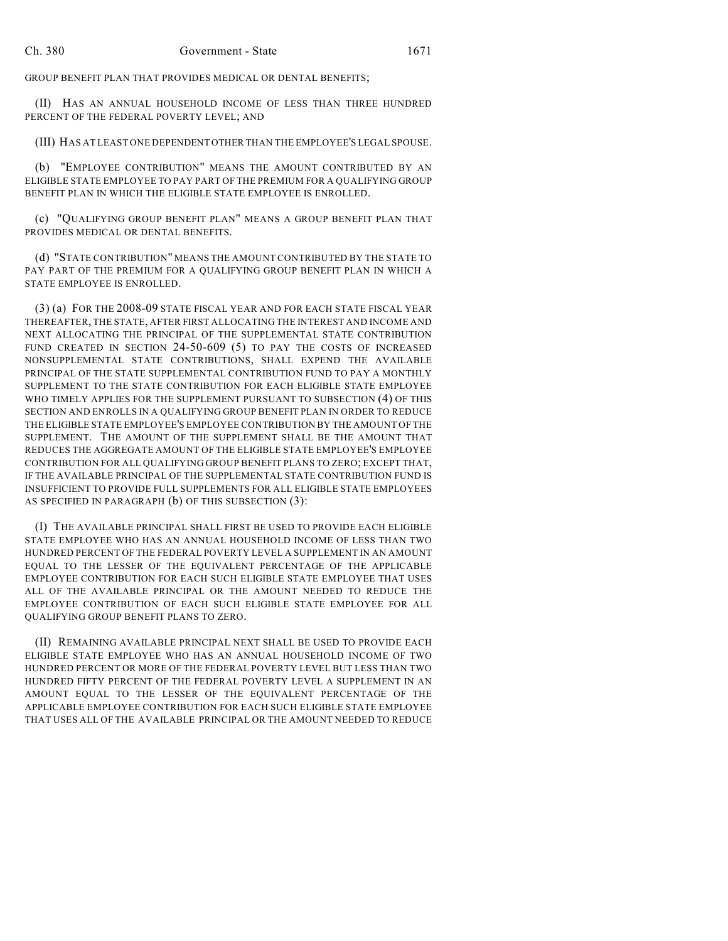GROUP BENEFIT PLAN THAT PROVIDES MEDICAL OR DENTAL BENEFITS;

(II) HAS AN ANNUAL HOUSEHOLD INCOME OF LESS THAN THREE HUNDRED PERCENT OF THE FEDERAL POVERTY LEVEL; AND

(III) HAS AT LEAST ONE DEPENDENT OTHER THAN THE EMPLOYEE'S LEGAL SPOUSE.

(b) "EMPLOYEE CONTRIBUTION" MEANS THE AMOUNT CONTRIBUTED BY AN ELIGIBLE STATE EMPLOYEE TO PAY PART OF THE PREMIUM FOR A QUALIFYING GROUP BENEFIT PLAN IN WHICH THE ELIGIBLE STATE EMPLOYEE IS ENROLLED.

(c) "QUALIFYING GROUP BENEFIT PLAN" MEANS A GROUP BENEFIT PLAN THAT PROVIDES MEDICAL OR DENTAL BENEFITS.

(d) "STATE CONTRIBUTION" MEANS THE AMOUNT CONTRIBUTED BY THE STATE TO PAY PART OF THE PREMIUM FOR A QUALIFYING GROUP BENEFIT PLAN IN WHICH A STATE EMPLOYEE IS ENROLLED.

(3) (a) FOR THE 2008-09 STATE FISCAL YEAR AND FOR EACH STATE FISCAL YEAR THEREAFTER, THE STATE, AFTER FIRST ALLOCATING THE INTEREST AND INCOME AND NEXT ALLOCATING THE PRINCIPAL OF THE SUPPLEMENTAL STATE CONTRIBUTION FUND CREATED IN SECTION 24-50-609 (5) TO PAY THE COSTS OF INCREASED NONSUPPLEMENTAL STATE CONTRIBUTIONS, SHALL EXPEND THE AVAILABLE PRINCIPAL OF THE STATE SUPPLEMENTAL CONTRIBUTION FUND TO PAY A MONTHLY SUPPLEMENT TO THE STATE CONTRIBUTION FOR EACH ELIGIBLE STATE EMPLOYEE WHO TIMELY APPLIES FOR THE SUPPLEMENT PURSUANT TO SUBSECTION (4) OF THIS SECTION AND ENROLLS IN A QUALIFYING GROUP BENEFIT PLAN IN ORDER TO REDUCE THE ELIGIBLE STATE EMPLOYEE'S EMPLOYEE CONTRIBUTION BY THE AMOUNT OF THE SUPPLEMENT. THE AMOUNT OF THE SUPPLEMENT SHALL BE THE AMOUNT THAT REDUCES THE AGGREGATE AMOUNT OF THE ELIGIBLE STATE EMPLOYEE'S EMPLOYEE CONTRIBUTION FOR ALL QUALIFYING GROUP BENEFIT PLANS TO ZERO; EXCEPT THAT, IF THE AVAILABLE PRINCIPAL OF THE SUPPLEMENTAL STATE CONTRIBUTION FUND IS INSUFFICIENT TO PROVIDE FULL SUPPLEMENTS FOR ALL ELIGIBLE STATE EMPLOYEES AS SPECIFIED IN PARAGRAPH (b) OF THIS SUBSECTION (3):

(I) THE AVAILABLE PRINCIPAL SHALL FIRST BE USED TO PROVIDE EACH ELIGIBLE STATE EMPLOYEE WHO HAS AN ANNUAL HOUSEHOLD INCOME OF LESS THAN TWO HUNDRED PERCENT OF THE FEDERAL POVERTY LEVEL A SUPPLEMENT IN AN AMOUNT EQUAL TO THE LESSER OF THE EQUIVALENT PERCENTAGE OF THE APPLICABLE EMPLOYEE CONTRIBUTION FOR EACH SUCH ELIGIBLE STATE EMPLOYEE THAT USES ALL OF THE AVAILABLE PRINCIPAL OR THE AMOUNT NEEDED TO REDUCE THE EMPLOYEE CONTRIBUTION OF EACH SUCH ELIGIBLE STATE EMPLOYEE FOR ALL QUALIFYING GROUP BENEFIT PLANS TO ZERO.

(II) REMAINING AVAILABLE PRINCIPAL NEXT SHALL BE USED TO PROVIDE EACH ELIGIBLE STATE EMPLOYEE WHO HAS AN ANNUAL HOUSEHOLD INCOME OF TWO HUNDRED PERCENT OR MORE OF THE FEDERAL POVERTY LEVEL BUT LESS THAN TWO HUNDRED FIFTY PERCENT OF THE FEDERAL POVERTY LEVEL A SUPPLEMENT IN AN AMOUNT EQUAL TO THE LESSER OF THE EQUIVALENT PERCENTAGE OF THE APPLICABLE EMPLOYEE CONTRIBUTION FOR EACH SUCH ELIGIBLE STATE EMPLOYEE THAT USES ALL OF THE AVAILABLE PRINCIPAL OR THE AMOUNT NEEDED TO REDUCE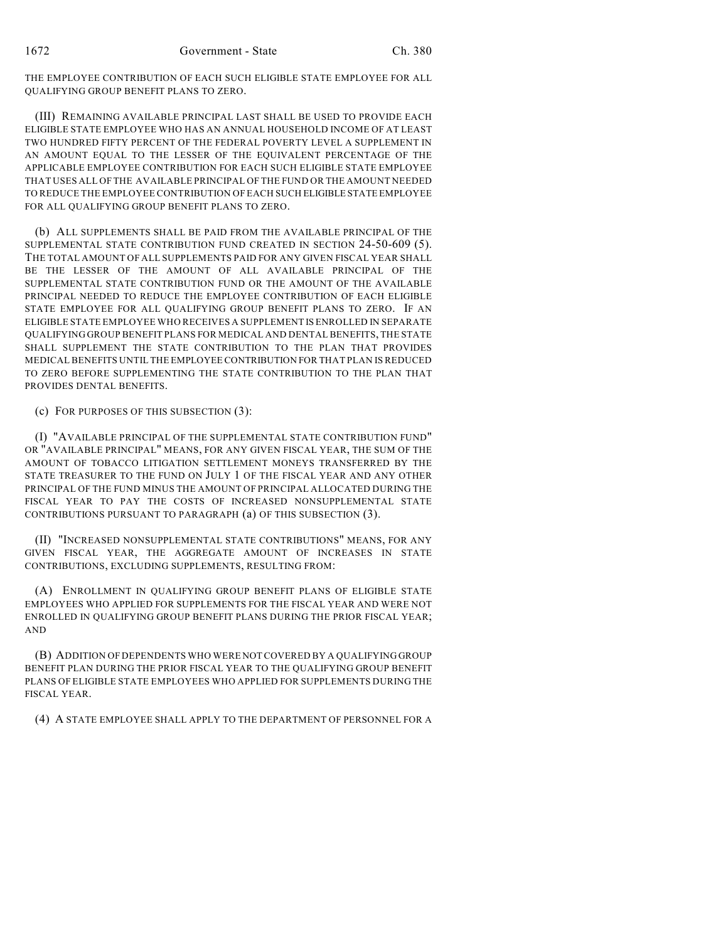THE EMPLOYEE CONTRIBUTION OF EACH SUCH ELIGIBLE STATE EMPLOYEE FOR ALL QUALIFYING GROUP BENEFIT PLANS TO ZERO.

(III) REMAINING AVAILABLE PRINCIPAL LAST SHALL BE USED TO PROVIDE EACH ELIGIBLE STATE EMPLOYEE WHO HAS AN ANNUAL HOUSEHOLD INCOME OF AT LEAST TWO HUNDRED FIFTY PERCENT OF THE FEDERAL POVERTY LEVEL A SUPPLEMENT IN AN AMOUNT EQUAL TO THE LESSER OF THE EQUIVALENT PERCENTAGE OF THE APPLICABLE EMPLOYEE CONTRIBUTION FOR EACH SUCH ELIGIBLE STATE EMPLOYEE THAT USES ALL OF THE AVAILABLE PRINCIPAL OF THE FUND OR THE AMOUNT NEEDED TO REDUCE THE EMPLOYEE CONTRIBUTION OF EACH SUCH ELIGIBLE STATE EMPLOYEE FOR ALL QUALIFYING GROUP BENEFIT PLANS TO ZERO.

(b) ALL SUPPLEMENTS SHALL BE PAID FROM THE AVAILABLE PRINCIPAL OF THE SUPPLEMENTAL STATE CONTRIBUTION FUND CREATED IN SECTION 24-50-609 (5). THE TOTAL AMOUNT OF ALL SUPPLEMENTS PAID FOR ANY GIVEN FISCAL YEAR SHALL BE THE LESSER OF THE AMOUNT OF ALL AVAILABLE PRINCIPAL OF THE SUPPLEMENTAL STATE CONTRIBUTION FUND OR THE AMOUNT OF THE AVAILABLE PRINCIPAL NEEDED TO REDUCE THE EMPLOYEE CONTRIBUTION OF EACH ELIGIBLE STATE EMPLOYEE FOR ALL QUALIFYING GROUP BENEFIT PLANS TO ZERO. IF AN ELIGIBLE STATE EMPLOYEE WHO RECEIVES A SUPPLEMENT IS ENROLLED IN SEPARATE QUALIFYING GROUP BENEFIT PLANS FOR MEDICAL AND DENTAL BENEFITS, THE STATE SHALL SUPPLEMENT THE STATE CONTRIBUTION TO THE PLAN THAT PROVIDES MEDICAL BENEFITS UNTIL THE EMPLOYEE CONTRIBUTION FOR THAT PLAN IS REDUCED TO ZERO BEFORE SUPPLEMENTING THE STATE CONTRIBUTION TO THE PLAN THAT PROVIDES DENTAL BENEFITS.

(c) FOR PURPOSES OF THIS SUBSECTION (3):

(I) "AVAILABLE PRINCIPAL OF THE SUPPLEMENTAL STATE CONTRIBUTION FUND" OR "AVAILABLE PRINCIPAL" MEANS, FOR ANY GIVEN FISCAL YEAR, THE SUM OF THE AMOUNT OF TOBACCO LITIGATION SETTLEMENT MONEYS TRANSFERRED BY THE STATE TREASURER TO THE FUND ON JULY 1 OF THE FISCAL YEAR AND ANY OTHER PRINCIPAL OF THE FUND MINUS THE AMOUNT OF PRINCIPAL ALLOCATED DURING THE FISCAL YEAR TO PAY THE COSTS OF INCREASED NONSUPPLEMENTAL STATE CONTRIBUTIONS PURSUANT TO PARAGRAPH (a) OF THIS SUBSECTION (3).

(II) "INCREASED NONSUPPLEMENTAL STATE CONTRIBUTIONS" MEANS, FOR ANY GIVEN FISCAL YEAR, THE AGGREGATE AMOUNT OF INCREASES IN STATE CONTRIBUTIONS, EXCLUDING SUPPLEMENTS, RESULTING FROM:

(A) ENROLLMENT IN QUALIFYING GROUP BENEFIT PLANS OF ELIGIBLE STATE EMPLOYEES WHO APPLIED FOR SUPPLEMENTS FOR THE FISCAL YEAR AND WERE NOT ENROLLED IN QUALIFYING GROUP BENEFIT PLANS DURING THE PRIOR FISCAL YEAR; AND

(B) ADDITION OF DEPENDENTS WHO WERE NOT COVERED BY A QUALIFYING GROUP BENEFIT PLAN DURING THE PRIOR FISCAL YEAR TO THE QUALIFYING GROUP BENEFIT PLANS OF ELIGIBLE STATE EMPLOYEES WHO APPLIED FOR SUPPLEMENTS DURING THE FISCAL YEAR.

(4) A STATE EMPLOYEE SHALL APPLY TO THE DEPARTMENT OF PERSONNEL FOR A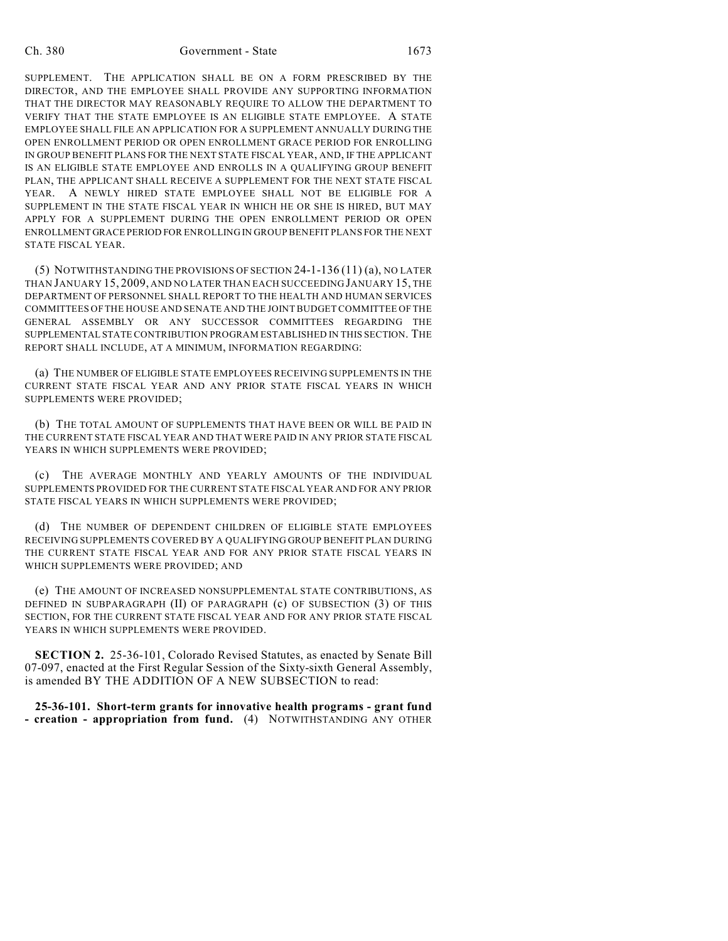SUPPLEMENT. THE APPLICATION SHALL BE ON A FORM PRESCRIBED BY THE DIRECTOR, AND THE EMPLOYEE SHALL PROVIDE ANY SUPPORTING INFORMATION THAT THE DIRECTOR MAY REASONABLY REQUIRE TO ALLOW THE DEPARTMENT TO VERIFY THAT THE STATE EMPLOYEE IS AN ELIGIBLE STATE EMPLOYEE. A STATE EMPLOYEE SHALL FILE AN APPLICATION FOR A SUPPLEMENT ANNUALLY DURING THE OPEN ENROLLMENT PERIOD OR OPEN ENROLLMENT GRACE PERIOD FOR ENROLLING IN GROUP BENEFIT PLANS FOR THE NEXT STATE FISCAL YEAR, AND, IF THE APPLICANT IS AN ELIGIBLE STATE EMPLOYEE AND ENROLLS IN A QUALIFYING GROUP BENEFIT PLAN, THE APPLICANT SHALL RECEIVE A SUPPLEMENT FOR THE NEXT STATE FISCAL YEAR. A NEWLY HIRED STATE EMPLOYEE SHALL NOT BE ELIGIBLE FOR A SUPPLEMENT IN THE STATE FISCAL YEAR IN WHICH HE OR SHE IS HIRED, BUT MAY APPLY FOR A SUPPLEMENT DURING THE OPEN ENROLLMENT PERIOD OR OPEN ENROLLMENT GRACE PERIOD FOR ENROLLING IN GROUP BENEFIT PLANS FOR THE NEXT STATE FISCAL YEAR.

(5) NOTWITHSTANDING THE PROVISIONS OF SECTION 24-1-136 (11) (a), NO LATER THAN JANUARY 15, 2009, AND NO LATER THAN EACH SUCCEEDING JANUARY 15, THE DEPARTMENT OF PERSONNEL SHALL REPORT TO THE HEALTH AND HUMAN SERVICES COMMITTEES OF THE HOUSE AND SENATE AND THE JOINT BUDGET COMMITTEE OF THE GENERAL ASSEMBLY OR ANY SUCCESSOR COMMITTEES REGARDING THE SUPPLEMENTAL STATE CONTRIBUTION PROGRAM ESTABLISHED IN THIS SECTION. THE REPORT SHALL INCLUDE, AT A MINIMUM, INFORMATION REGARDING:

(a) THE NUMBER OF ELIGIBLE STATE EMPLOYEES RECEIVING SUPPLEMENTS IN THE CURRENT STATE FISCAL YEAR AND ANY PRIOR STATE FISCAL YEARS IN WHICH SUPPLEMENTS WERE PROVIDED;

(b) THE TOTAL AMOUNT OF SUPPLEMENTS THAT HAVE BEEN OR WILL BE PAID IN THE CURRENT STATE FISCAL YEAR AND THAT WERE PAID IN ANY PRIOR STATE FISCAL YEARS IN WHICH SUPPLEMENTS WERE PROVIDED;

(c) THE AVERAGE MONTHLY AND YEARLY AMOUNTS OF THE INDIVIDUAL SUPPLEMENTS PROVIDED FOR THE CURRENT STATE FISCAL YEAR AND FOR ANY PRIOR STATE FISCAL YEARS IN WHICH SUPPLEMENTS WERE PROVIDED;

(d) THE NUMBER OF DEPENDENT CHILDREN OF ELIGIBLE STATE EMPLOYEES RECEIVING SUPPLEMENTS COVERED BY A QUALIFYING GROUP BENEFIT PLAN DURING THE CURRENT STATE FISCAL YEAR AND FOR ANY PRIOR STATE FISCAL YEARS IN WHICH SUPPLEMENTS WERE PROVIDED; AND

(e) THE AMOUNT OF INCREASED NONSUPPLEMENTAL STATE CONTRIBUTIONS, AS DEFINED IN SUBPARAGRAPH (II) OF PARAGRAPH (c) OF SUBSECTION (3) OF THIS SECTION, FOR THE CURRENT STATE FISCAL YEAR AND FOR ANY PRIOR STATE FISCAL YEARS IN WHICH SUPPLEMENTS WERE PROVIDED.

**SECTION 2.** 25-36-101, Colorado Revised Statutes, as enacted by Senate Bill 07-097, enacted at the First Regular Session of the Sixty-sixth General Assembly, is amended BY THE ADDITION OF A NEW SUBSECTION to read:

**25-36-101. Short-term grants for innovative health programs - grant fund - creation - appropriation from fund.** (4) NOTWITHSTANDING ANY OTHER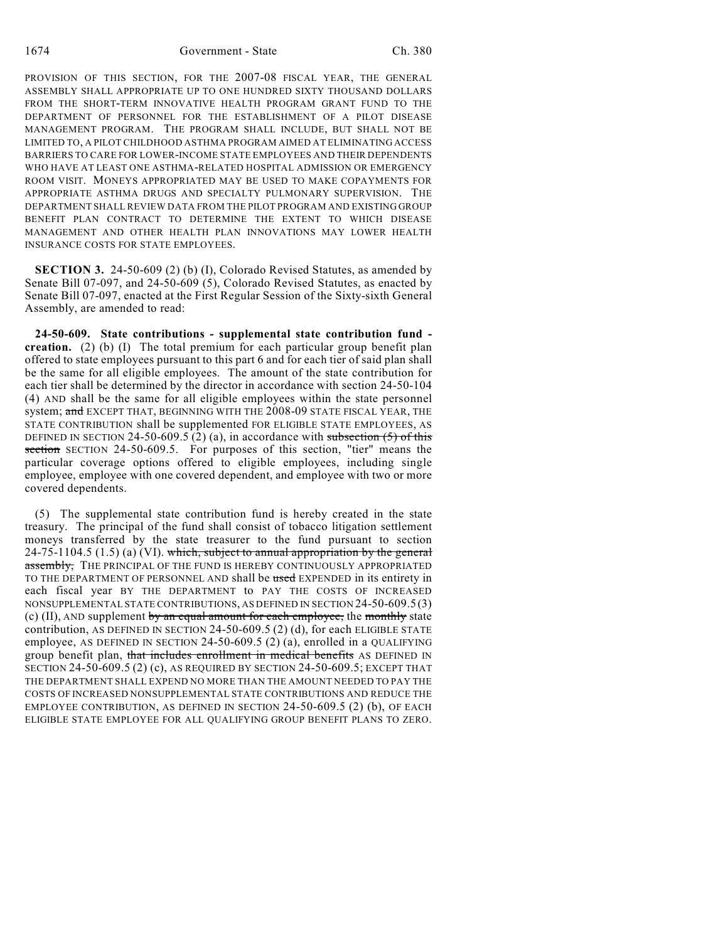PROVISION OF THIS SECTION, FOR THE 2007-08 FISCAL YEAR, THE GENERAL ASSEMBLY SHALL APPROPRIATE UP TO ONE HUNDRED SIXTY THOUSAND DOLLARS FROM THE SHORT-TERM INNOVATIVE HEALTH PROGRAM GRANT FUND TO THE DEPARTMENT OF PERSONNEL FOR THE ESTABLISHMENT OF A PILOT DISEASE MANAGEMENT PROGRAM. THE PROGRAM SHALL INCLUDE, BUT SHALL NOT BE LIMITED TO, A PILOT CHILDHOOD ASTHMA PROGRAM AIMED AT ELIMINATING ACCESS BARRIERS TO CARE FOR LOWER-INCOME STATE EMPLOYEES AND THEIR DEPENDENTS WHO HAVE AT LEAST ONE ASTHMA-RELATED HOSPITAL ADMISSION OR EMERGENCY ROOM VISIT. MONEYS APPROPRIATED MAY BE USED TO MAKE COPAYMENTS FOR APPROPRIATE ASTHMA DRUGS AND SPECIALTY PULMONARY SUPERVISION. THE DEPARTMENT SHALL REVIEW DATA FROM THE PILOT PROGRAM AND EXISTING GROUP BENEFIT PLAN CONTRACT TO DETERMINE THE EXTENT TO WHICH DISEASE MANAGEMENT AND OTHER HEALTH PLAN INNOVATIONS MAY LOWER HEALTH INSURANCE COSTS FOR STATE EMPLOYEES.

**SECTION 3.** 24-50-609 (2) (b) (I), Colorado Revised Statutes, as amended by Senate Bill 07-097, and 24-50-609 (5), Colorado Revised Statutes, as enacted by Senate Bill 07-097, enacted at the First Regular Session of the Sixty-sixth General Assembly, are amended to read:

**24-50-609. State contributions - supplemental state contribution fund creation.** (2) (b) (I) The total premium for each particular group benefit plan offered to state employees pursuant to this part 6 and for each tier of said plan shall be the same for all eligible employees. The amount of the state contribution for each tier shall be determined by the director in accordance with section 24-50-104 (4) AND shall be the same for all eligible employees within the state personnel system; and EXCEPT THAT, BEGINNING WITH THE 2008-09 STATE FISCAL YEAR, THE STATE CONTRIBUTION shall be supplemented FOR ELIGIBLE STATE EMPLOYEES, AS DEFINED IN SECTION 24-50-609.5 (2) (a), in accordance with subsection  $(5)$  of this section SECTION 24-50-609.5. For purposes of this section, "tier" means the particular coverage options offered to eligible employees, including single employee, employee with one covered dependent, and employee with two or more covered dependents.

(5) The supplemental state contribution fund is hereby created in the state treasury. The principal of the fund shall consist of tobacco litigation settlement moneys transferred by the state treasurer to the fund pursuant to section  $24-75-1104.5$   $(1.5)$   $(a)$   $(VI)$ . which, subject to annual appropriation by the general assembly, THE PRINCIPAL OF THE FUND IS HEREBY CONTINUOUSLY APPROPRIATED TO THE DEPARTMENT OF PERSONNEL AND shall be used EXPENDED in its entirety in each fiscal year BY THE DEPARTMENT to PAY THE COSTS OF INCREASED NONSUPPLEMENTAL STATE CONTRIBUTIONS, AS DEFINED IN SECTION 24-50-609.5 (3) (c) (II), AND supplement by an equal amount for each employee, the monthly state contribution, AS DEFINED IN SECTION 24-50-609.5 (2) (d), for each ELIGIBLE STATE employee, AS DEFINED IN SECTION 24-50-609.5 (2) (a), enrolled in a QUALIFYING group benefit plan, that includes enrollment in medical benefits AS DEFINED IN SECTION 24-50-609.5 (2) (c), AS REQUIRED BY SECTION 24-50-609.5; EXCEPT THAT THE DEPARTMENT SHALL EXPEND NO MORE THAN THE AMOUNT NEEDED TO PAY THE COSTS OF INCREASED NONSUPPLEMENTAL STATE CONTRIBUTIONS AND REDUCE THE EMPLOYEE CONTRIBUTION, AS DEFINED IN SECTION 24-50-609.5 (2) (b), OF EACH ELIGIBLE STATE EMPLOYEE FOR ALL QUALIFYING GROUP BENEFIT PLANS TO ZERO.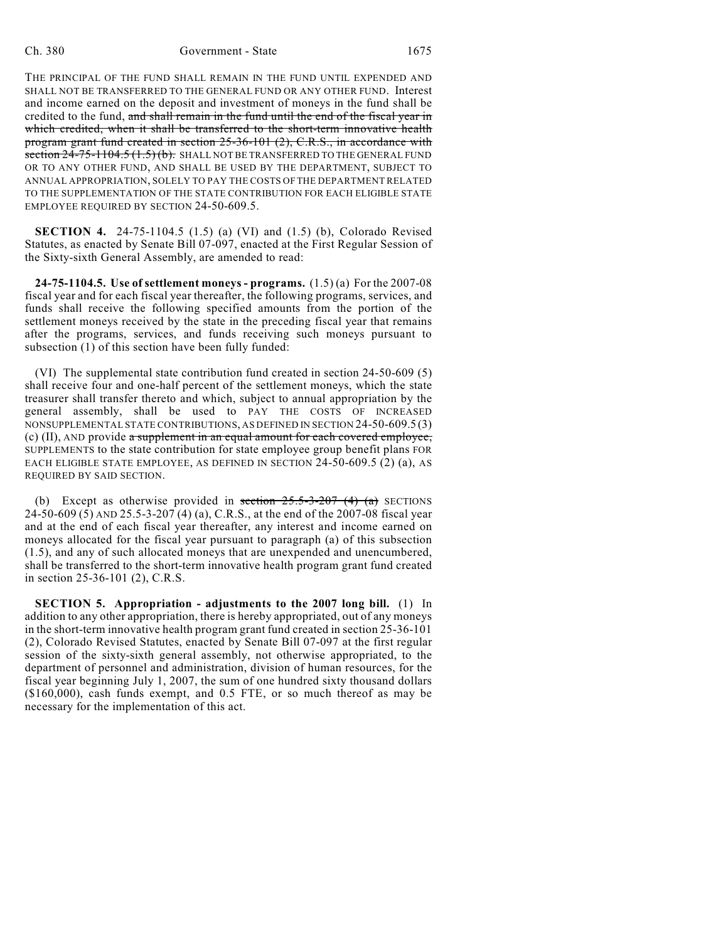THE PRINCIPAL OF THE FUND SHALL REMAIN IN THE FUND UNTIL EXPENDED AND SHALL NOT BE TRANSFERRED TO THE GENERAL FUND OR ANY OTHER FUND. Interest and income earned on the deposit and investment of moneys in the fund shall be credited to the fund, and shall remain in the fund until the end of the fiscal year in which credited, when it shall be transferred to the short-term innovative health program grant fund created in section 25-36-101 (2), C.R.S., in accordance with section  $24-75-1104.5(1.5)(b)$ . SHALL NOT BE TRANSFERRED TO THE GENERAL FUND OR TO ANY OTHER FUND, AND SHALL BE USED BY THE DEPARTMENT, SUBJECT TO ANNUAL APPROPRIATION, SOLELY TO PAY THE COSTS OF THE DEPARTMENT RELATED TO THE SUPPLEMENTATION OF THE STATE CONTRIBUTION FOR EACH ELIGIBLE STATE EMPLOYEE REQUIRED BY SECTION 24-50-609.5.

**SECTION 4.** 24-75-1104.5 (1.5) (a) (VI) and (1.5) (b), Colorado Revised Statutes, as enacted by Senate Bill 07-097, enacted at the First Regular Session of the Sixty-sixth General Assembly, are amended to read:

**24-75-1104.5. Use of settlement moneys - programs.** (1.5) (a) For the 2007-08 fiscal year and for each fiscal year thereafter, the following programs, services, and funds shall receive the following specified amounts from the portion of the settlement moneys received by the state in the preceding fiscal year that remains after the programs, services, and funds receiving such moneys pursuant to subsection (1) of this section have been fully funded:

(VI) The supplemental state contribution fund created in section 24-50-609 (5) shall receive four and one-half percent of the settlement moneys, which the state treasurer shall transfer thereto and which, subject to annual appropriation by the general assembly, shall be used to PAY THE COSTS OF INCREASED NONSUPPLEMENTAL STATE CONTRIBUTIONS, AS DEFINED IN SECTION 24-50-609.5 (3) (c) (II), AND provide a supplement in an equal amount for each covered employee, SUPPLEMENTS to the state contribution for state employee group benefit plans FOR EACH ELIGIBLE STATE EMPLOYEE, AS DEFINED IN SECTION 24-50-609.5 (2) (a), AS REQUIRED BY SAID SECTION.

(b) Except as otherwise provided in section  $25.5$ -3-207 (4) (a) SECTIONS 24-50-609 (5) AND 25.5-3-207 (4) (a), C.R.S., at the end of the 2007-08 fiscal year and at the end of each fiscal year thereafter, any interest and income earned on moneys allocated for the fiscal year pursuant to paragraph (a) of this subsection (1.5), and any of such allocated moneys that are unexpended and unencumbered, shall be transferred to the short-term innovative health program grant fund created in section 25-36-101 (2), C.R.S.

**SECTION 5. Appropriation - adjustments to the 2007 long bill.** (1) In addition to any other appropriation, there is hereby appropriated, out of any moneys in the short-term innovative health program grant fund created in section 25-36-101 (2), Colorado Revised Statutes, enacted by Senate Bill 07-097 at the first regular session of the sixty-sixth general assembly, not otherwise appropriated, to the department of personnel and administration, division of human resources, for the fiscal year beginning July 1, 2007, the sum of one hundred sixty thousand dollars (\$160,000), cash funds exempt, and 0.5 FTE, or so much thereof as may be necessary for the implementation of this act.